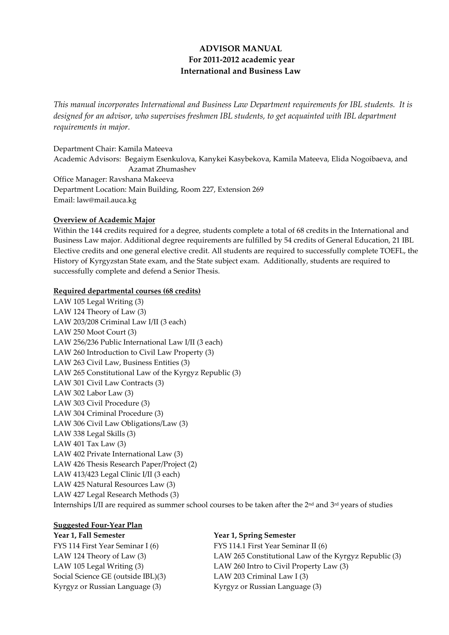# ADVISOR MANUAL For 2011-2012 academic year International and Business Law

This manual incorporates International and Business Law Department requirements for IBL students. It is designed for an advisor, who supervises freshmen IBL students, to get acquainted with IBL department requirements in major.

Department Chair: Kamila Mateeva Academic Advisors: Begaiym Esenkulova, Kanykei Kasybekova, Kamila Mateeva, Elida Nogoibaeva, and Azamat Zhumashev Office Manager: Ravshana Makeeva Department Location: Main Building, Room 227, Extension 269 Email: law@mail.auca.kg

## Overview of Academic Major

Within the 144 credits required for a degree, students complete a total of 68 credits in the International and Business Law major. Additional degree requirements are fulfilled by 54 credits of General Education, 21 IBL Elective credits and one general elective credit. All students are required to successfully complete TOEFL, the History of Kyrgyzstan State exam, and the State subject exam. Additionally, students are required to successfully complete and defend a Senior Thesis.

### Required departmental courses (68 credits)

LAW 105 Legal Writing (3) LAW 124 Theory of Law (3) LAW 203/208 Criminal Law I/II (3 each) LAW 250 Moot Court (3) LAW 256/236 Public International Law I/II (3 each) LAW 260 Introduction to Civil Law Property (3) LAW 263 Civil Law, Business Entities (3) LAW 265 Constitutional Law of the Kyrgyz Republic (3) LAW 301 Civil Law Contracts (3) LAW 302 Labor Law (3) LAW 303 Civil Procedure (3) LAW 304 Criminal Procedure (3) LAW 306 Civil Law Obligations/Law (3) LAW 338 Legal Skills (3) LAW 401 Tax Law (3) LAW 402 Private International Law (3) LAW 426 Thesis Research Paper/Project (2) LAW 413/423 Legal Clinic I/II (3 each) LAW 425 Natural Resources Law (3) LAW 427 Legal Research Methods (3) Internships I/II are required as summer school courses to be taken after the 2<sup>nd</sup> and 3<sup>rd</sup> years of studies

# Suggested Four-Year Plan

Year 1, Fall Semester Year 1, Spring Semester FYS 114 First Year Seminar I (6) FYS 114.1 First Year Seminar II (6) LAW 124 Theory of Law (3) LAW 265 Constitutional Law of the Kyrgyz Republic (3) LAW 105 Legal Writing (3) LAW 260 Intro to Civil Property Law (3) Social Science GE (outside IBL)(3) LAW 203 Criminal Law I (3) Kyrgyz or Russian Language (3) Kyrgyz or Russian Language (3)